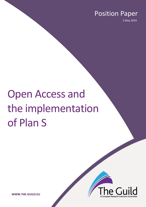## Position Paper

2 May 2019

# Open Access and the implementation of Plan S



**WWW.THE-GUILD.EU**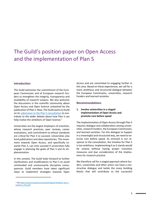### The Guild's position paper on Open Access and the implementation of Plan S

#### **Introduction**

l

The Guild welcomes the commitment of the European Commission and of European research funders to strengthen the integrity, transparency and availability of research outputs. We also welcome the discussions in the scientific community about Open Access and Open Science unleashed by the publication of Plan S. Now, The Guild wants to build on it[s submission to the Plan S consultation](https://www.the-guild.eu/news/2019/guild-feedback_plan-s-guidance_final.pdf) to contribute to the wider debate about how Plan S can help realise the ambitions of Open Science.<sup>[1](#page-1-0)</sup>

Universities are the largest employers of scientists, whose research practices, peer reviews, career evaluations, and commitment to ethical standards are critical for Plan S to succeed. Universities also fund publications and data repositories. The movement towards Open Access, and specifically towards Plan S, can only succeed if universities fully engage in planning the goals of Plan S and its implementation.

In this context, The Guild looks forward to further clarifications and modifications to Plan S to avoid unintended and unnecessarily disruptive consequences. Guild members have taken significant steps to implement strategies towards Open

Access and are committed to engaging further in this area. Based on these experiences, we call for a more ambitious and structured dialogue between the European Commission, universities, research funders and learned societies.

#### **Recommendations**

#### **1. Involve universities in a staged implementation of Open Access and promote care before speed**

The implementation of Open Access through Plan S requires dialogue and collaboration among universities, research funders, the European Commission, and learned societies. For this dialogue to happen in a meaningful and structured way, we need to exercise care before speed. As stressed in our response to the consultation, the timeline for Plan S is too ambitious. Implementing it as it stands would be unwise without having proper transition measures and due consideration of the implications for research practice.

We therefore call for a staged approach where funders, universities and other actors can have a constructive dialogue and tackle the many building blocks that will contribute to the successful

<span id="page-1-0"></span><sup>&</sup>lt;sup>1</sup> Se[e https://www.the-guild.eu/news/2019/guild-feedback\\_plan-s](https://www.the-guild.eu/news/2019/guild-feedback_plan-s-guidance_final.pdf)[guidance\\_final.pdf.](https://www.the-guild.eu/news/2019/guild-feedback_plan-s-guidance_final.pdf)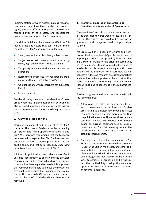implementation of Open Access, such as repositories, rewards and incentives, intellectual property rights, needs of different disciplines, the roles and responsibilities of each actor, and researchers' awareness of and support for Open Access.

In addition, Guild members have identified the following areas and actors that can find the implementation of Plan S particularly problematic:

- Small, new and interdisciplinary subject areas
- Subject areas that currently do not have recognised, high-quality Open Access channels
- Temporary academic staff and early career researchers
- Recruitment processes for researchers from countries that are not subject to Plan S
- Co-publications with researchers not subject to Plan S
- Learned societies

Besides allowing the closer consideration of these areas where the implementation can be problematic, a staged approach would also enable institutions to assess and capitalise on existing best practices.

#### **2. Clarify the scope of Plan S**

Clarifying the concept and the objectives of Plan S is crucial. The current Guidance can be misleading as it states that "Plan S applies to all scholarly output." We therefore recommend that the Guidance be amended to explain that Plan S addresses only outputs in the form of journal publications and scientific books, and that data (especially underlying data) is excluded from the scope of Plan S.

Additionally, publications are a relevant part of universities' contribution to society and the diffusion of knowledge, and go hand in hand with the pursuit of education, learning and research. It is important that researchers are able to choose the most effective publishing venues that maximise the circulation of their research. Obstacles to such an effective circulation of knowledge should therefore be removed.

#### **3. Promote collaboration on rewards and incentives as a key enabler of Open Access**

The question of rewards and incentives is central to a true transition towards Open Access. It is essential that Open Access is considered as part of the greater cultural change required to support Open Science.

We urge cOAlition S to consider rewards and incentives as the key enablers of Open Access, instead of imposing sanctions as proposed by Plan S. Achieving a cultural change in the scientific community has to be a process that is founded in the values of academia. In this respect, a dialogue with stakeholders will be important to discuss how we can collectively develop research assessment practices and emphasise the importance of merit rather than publication venue. Considering these questions in silos will not lead to consensus in the scientific ecosystem.

Further progress would be especially beneficial in the following areas:

- Addressing the differing approaches to research assessment: Institutions and funders are starting to develop new models to assess researchers based on their merits rather than on publication venues. However, these new assessment models will coexist with models based on current indicators such as journalbased metrics. This risks creating competitive disadvantages for some researchers in the global research market.
- Building on existing initiatives such as the San Francisco Declaration on Research Assessment (DORA), the Leiden Manifesto, and other relevant initiatives that are not yet universally implemented at the institutional and funder level, while recognising that there might be different ways to achieve this transition and giving universities the flexibility to adopt the evaluation approaches that best fit their needs and those of different disciplines.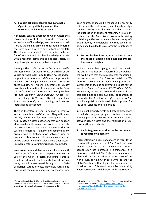#### **4. Support scholarly-centred and sustainable Open Access publishing models that maximise the benefits of research**

A scholarly-centred approach to Open Access that recognises the centrality of the work of researchers as producers of knowledge, peer reviewers and editors, is the guiding principle that should underpin the development of any new publishing models. The ultimate goal should be to maximise the benefits of research and circulate knowledge not only within research communities but also society at large through sustainable publishing practices.

Although Plan S affirms not to favour any specific business model for Open Access publishing or advocate any particular route to Open Access, it does in practice promote an APC-based approach to Open Access that particularly benefits profit-oriented publishers. This will exacerbate an already unsustainable situation. As mentioned in the Commission's report on *The Future of Scholarly Publishing and Scholarly Communication*, Article Processing Charges (APCs) currently make up at least 1[2](#page-3-0)% of institutions' journal spending, $<sup>2</sup>$  and they are</sup> increasing at a steep rate.

There is therefore a need to support alternative and sustainable non-APC models. They will be especially important for the development of a healthy Open Access ecosystem that can support all researchers. However, the process of establishing new and reputable publication venues that researchers embrace is lengthy and complex in any given discipline. Collaboration between funders, university libraries and disciplinary communities will be crucial to identify fields where Open Access journals, platforms or infrastructures are needed.

We also recommend that funders collaborate with the European Commission to explore whether the use of the Open Research Publishing Platform could be extended to all publicly funded publications, beyond those created through Horizon 2020 or Horizon Europe projects. However, such a platform must remain independent, transparent and open-source. It should be managed by an entity with no conflicts of interest, and include a highstandard quality control process in order to ensure the publication of excellent research. It is also important that the Commission works with existing publishing initiatives in universities and non-profit organisations, to understand how they can be supported and linked to the platform the EU intends to build.

#### **5. Ensure flexible licencing to take into account the needs of specific disciplines and intellectual property rights**

While it is clear that copyright should remain with the author and not be transferred to the publishers, we believe that the requirements regarding licenses proposed by Plan S are too restrictive. We therefore recommend Plan S to change these requirements and to add an exemption clause for the use of the Creative Commons CC-BY-NC and CC-BY-ND variants, to take into account the needs of specific disciplines and communities. For example, as stressed in the British Academy's response to Plan S, including ND licenses is particularly important for the Social Sciences and Humanities.<sup>[3](#page-3-0)</sup>

Intellectual property rights and patent protections should also be given proper consideration when defining permitted licences, to maintain a balance between Open Access and the valorisation of discoveries through patents.

#### **6. Avoid fragmentation that can be detrimental to research collaboration**

Fragmentation is a cause of concern as regards the successful implementation of Plan S and the move towards Open Access. As transnational scientific collaboration has increased in significance, it is therefore crucial that Plan S aligns as much as possible with similar initiatives in other parts of the world (such as AmeliCA in Latin America and the Global South) and that it gains the widest international support. This would minimise uncertainty when researchers collaborate with international

 $\overline{a}$ 

<span id="page-3-0"></span><sup>2</sup> European Commission - DG Research and Innovation (January 2019). "Future of Scholarly Publishing and Scholarly Communication: Report of the Expert Group to the European Commission," p. 18.

<sup>&</sup>lt;sup>3</sup> British Academy (2018). "Science Europe's Plan S: making it work for all researchers." Available at[: https://www.thebritishacad](https://www.thebritishacademy.ac.uk/sites/default/files/British_Academy_paper_on_Science_Europe_Plan_S.pdf)[emy.ac.uk/sites/default/files/British\\_Academy\\_paper\\_on\\_Sci](https://www.thebritishacademy.ac.uk/sites/default/files/British_Academy_paper_on_Science_Europe_Plan_S.pdf)[ence\\_Europe\\_Plan\\_S.pdf.](https://www.thebritishacademy.ac.uk/sites/default/files/British_Academy_paper_on_Science_Europe_Plan_S.pdf)